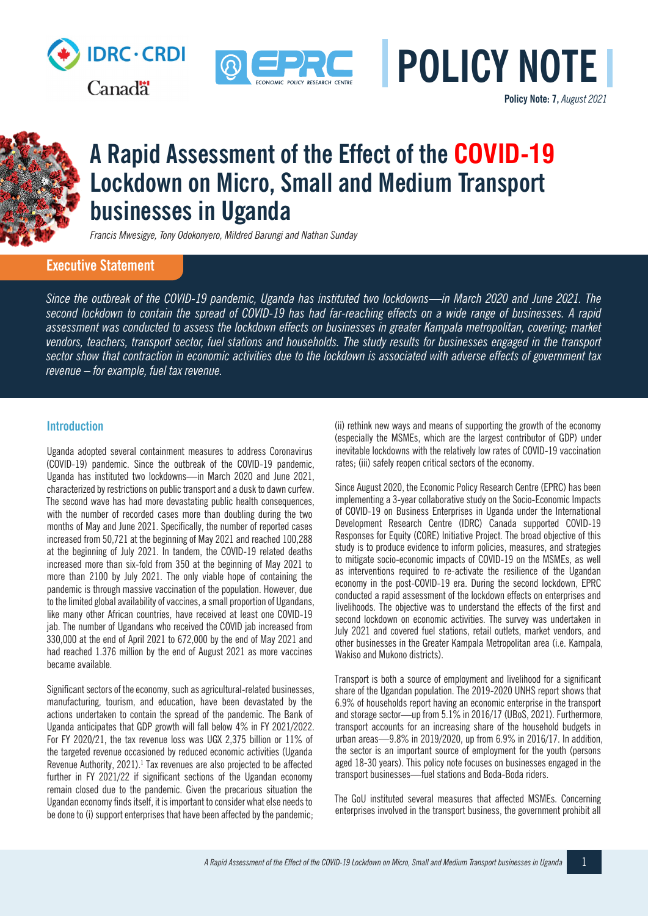

**Canadä** 



**Policy Note: 7,** *August 2021*



# **A Rapid Assessment of the Effect of the COVID-19 Lockdown on Micro, Small and Medium Transport businesses in Uganda**

*Francis Mwesigye, Tony Odokonyero, Mildred Barungi and Nathan Sunday*

# **Executive Statement**

*Since the outbreak of the COVID-19 pandemic, Uganda has instituted two lockdowns—in March 2020 and June 2021. The second lockdown to contain the spread of COVID-19 has had far-reaching effects on a wide range of businesses. A rapid assessment was conducted to assess the lockdown effects on businesses in greater Kampala metropolitan, covering; market vendors, teachers, transport sector, fuel stations and households. The study results for businesses engaged in the transport sector show that contraction in economic activities due to the lockdown is associated with adverse effects of government tax revenue – for example, fuel tax revenue.*

# **Introduction**

Uganda adopted several containment measures to address Coronavirus (COVID-19) pandemic. Since the outbreak of the COVID-19 pandemic, Uganda has instituted two lockdowns—in March 2020 and June 2021, characterized by restrictions on public transport and a dusk to dawn curfew. The second wave has had more devastating public health consequences, with the number of recorded cases more than doubling during the two months of May and June 2021. Specifically, the number of reported cases increased from 50,721 at the beginning of May 2021 and reached 100,288 at the beginning of July 2021. In tandem, the COVID-19 related deaths increased more than six-fold from 350 at the beginning of May 2021 to more than 2100 by July 2021. The only viable hope of containing the pandemic is through massive vaccination of the population. However, due to the limited global availability of vaccines, a small proportion of Ugandans, like many other African countries, have received at least one COVID-19 jab. The number of Ugandans who received the COVID jab increased from 330,000 at the end of April 2021 to 672,000 by the end of May 2021 and had reached 1.376 million by the end of August 2021 as more vaccines became available.

Significant sectors of the economy, such as agricultural-related businesses, manufacturing, tourism, and education, have been devastated by the actions undertaken to contain the spread of the pandemic. The Bank of Uganda anticipates that GDP growth will fall below 4% in FY 2021/2022. For FY 2020/21, the tax revenue loss was UGX 2,375 billion or 11% of the targeted revenue occasioned by reduced economic activities (Uganda Revenue Authority, 2021).<sup>1</sup> Tax revenues are also projected to be affected further in FY 2021/22 if significant sections of the Ugandan economy remain closed due to the pandemic. Given the precarious situation the Ugandan economy finds itself, it is important to consider what else needs to be done to (i) support enterprises that have been affected by the pandemic;

(ii) rethink new ways and means of supporting the growth of the economy (especially the MSMEs, which are the largest contributor of GDP) under inevitable lockdowns with the relatively low rates of COVID-19 vaccination rates; (iii) safely reopen critical sectors of the economy.

Since August 2020, the Economic Policy Research Centre (EPRC) has been implementing a 3-year collaborative study on the Socio-Economic Impacts of COVID-19 on Business Enterprises in Uganda under the International Development Research Centre (IDRC) Canada supported COVID-19 Responses for Equity (CORE) Initiative Project. The broad objective of this study is to produce evidence to inform policies, measures, and strategies to mitigate socio-economic impacts of COVID-19 on the MSMEs, as well as interventions required to re-activate the resilience of the Ugandan economy in the post-COVID-19 era. During the second lockdown, EPRC conducted a rapid assessment of the lockdown effects on enterprises and livelihoods. The objective was to understand the effects of the first and second lockdown on economic activities. The survey was undertaken in July 2021 and covered fuel stations, retail outlets, market vendors, and other businesses in the Greater Kampala Metropolitan area (i.e. Kampala, Wakiso and Mukono districts).

Transport is both a source of employment and livelihood for a significant share of the Ugandan population. The 2019-2020 UNHS report shows that 6.9% of households report having an economic enterprise in the transport and storage sector—up from 5.1% in 2016/17 (UBoS, 2021). Furthermore, transport accounts for an increasing share of the household budgets in urban areas—9.8% in 2019/2020, up from 6.9% in 2016/17. In addition, the sector is an important source of employment for the youth (persons aged 18-30 years). This policy note focuses on businesses engaged in the transport businesses—fuel stations and Boda-Boda riders.

The GoU instituted several measures that affected MSMEs. Concerning enterprises involved in the transport business, the government prohibit all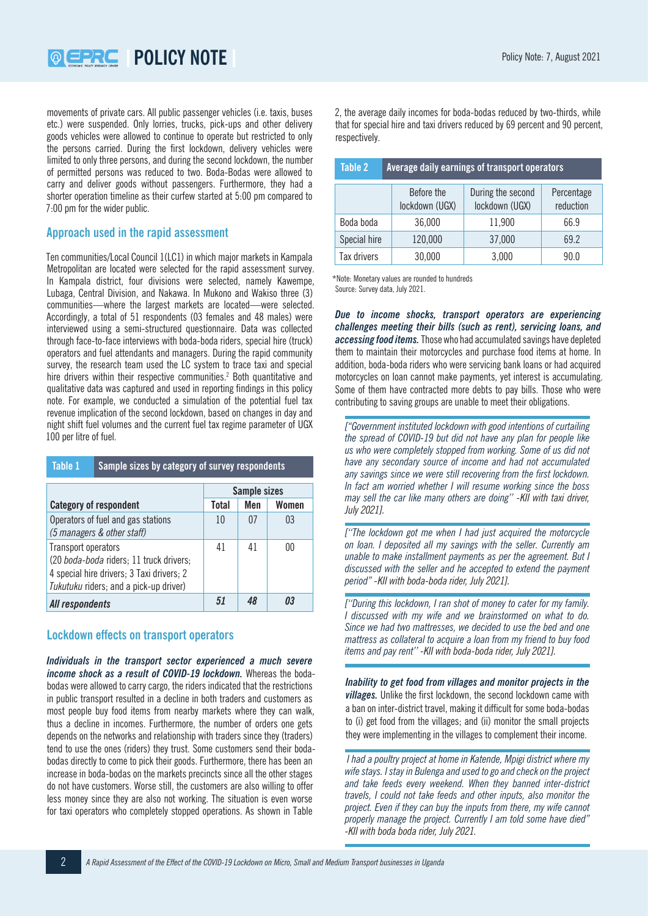**POLICY NOTE POLICY NOTE POLICY ASSESS** 

movements of private cars. All public passenger vehicles (i.e. taxis, buses etc.) were suspended. Only lorries, trucks, pick-ups and other delivery goods vehicles were allowed to continue to operate but restricted to only the persons carried. During the first lockdown, delivery vehicles were limited to only three persons, and during the second lockdown, the number of permitted persons was reduced to two. Boda-Bodas were allowed to carry and deliver goods without passengers. Furthermore, they had a shorter operation timeline as their curfew started at 5:00 pm compared to 7:00 pm for the wider public.

# **Approach used in the rapid assessment**

Ten communities/Local Council 1(LC1) in which major markets in Kampala Metropolitan are located were selected for the rapid assessment survey. In Kampala district, four divisions were selected, namely Kawempe, Lubaga, Central Division, and Nakawa. In Mukono and Wakiso three (3) communities—where the largest markets are located—were selected. Accordingly, a total of 51 respondents (03 females and 48 males) were interviewed using a semi-structured questionnaire. Data was collected through face-to-face interviews with boda-boda riders, special hire (truck) operators and fuel attendants and managers. During the rapid community survey, the research team used the LC system to trace taxi and special hire drivers within their respective communities.<sup>2</sup> Both quantitative and qualitative data was captured and used in reporting findings in this policy note. For example, we conducted a simulation of the potential fuel tax revenue implication of the second lockdown, based on changes in day and night shift fuel volumes and the current fuel tax regime parameter of UGX 100 per litre of fuel.

| Table 1                                                                                                                                               | Sample sizes by category of survey respondents |              |     |                |
|-------------------------------------------------------------------------------------------------------------------------------------------------------|------------------------------------------------|--------------|-----|----------------|
|                                                                                                                                                       |                                                | Sample sizes |     |                |
| <b>Category of respondent</b>                                                                                                                         |                                                | Total        | Men | Women          |
| Operators of fuel and gas stations<br>(5 managers & other staff)                                                                                      |                                                | 10           | 07  | 0 <sub>3</sub> |
| Transport operators<br>(20 boda-boda riders; 11 truck drivers;<br>4 special hire drivers; 3 Taxi drivers; 2<br>Tukutuku riders; and a pick-up driver) |                                                | 41           | 41  | 00             |
| All respondents                                                                                                                                       |                                                | 51           |     | Ω3             |

# **Lockdown effects on transport operators**

*Individuals in the transport sector experienced a much severe income shock as a result of COVID-19 lockdown.* Whereas the bodabodas were allowed to carry cargo, the riders indicated that the restrictions in public transport resulted in a decline in both traders and customers as most people buy food items from nearby markets where they can walk, thus a decline in incomes. Furthermore, the number of orders one gets depends on the networks and relationship with traders since they (traders) tend to use the ones (riders) they trust. Some customers send their bodabodas directly to come to pick their goods. Furthermore, there has been an increase in boda-bodas on the markets precincts since all the other stages do not have customers. Worse still, the customers are also willing to offer less money since they are also not working. The situation is even worse for taxi operators who completely stopped operations. As shown in Table

2, the average daily incomes for boda-bodas reduced by two-thirds, while that for special hire and taxi drivers reduced by 69 percent and 90 percent, respectively.

| Table 2      | <b>Average daily earnings of transport operators</b> |                                     |                         |  |
|--------------|------------------------------------------------------|-------------------------------------|-------------------------|--|
|              | Before the<br>lockdown (UGX)                         | During the second<br>lockdown (UGX) | Percentage<br>reduction |  |
| Boda boda    | 36,000                                               | 11,900                              | 66.9                    |  |
| Special hire | 120,000                                              | 37,000                              | 69.2                    |  |
| Tax drivers  | 30,000                                               | 3,000                               | 90.0                    |  |

\*Note: Monetary values are rounded to hundreds Source: Survey data, July 2021.

*Due to income shocks, transport operators are experiencing challenges meeting their bills (such as rent), servicing loans, and accessing food items.* Those who had accumulated savings have depleted them to maintain their motorcycles and purchase food items at home. In addition, boda-boda riders who were servicing bank loans or had acquired motorcycles on loan cannot make payments, yet interest is accumulating. Some of them have contracted more debts to pay bills. Those who were contributing to saving groups are unable to meet their obligations.

*["Government instituted lockdown with good intentions of curtailing the spread of COVID-19 but did not have any plan for people like us who were completely stopped from working. Some of us did not have any secondary source of income and had not accumulated any savings since we were still recovering from the first lockdown. In fact am worried whether I will resume working since the boss may sell the car like many others are doing'' -KII with taxi driver, July 2021].*

*[''The lockdown got me when I had just acquired the motorcycle on loan. I deposited all my savings with the seller. Currently am unable to make installment payments as per the agreement. But I discussed with the seller and he accepted to extend the payment period" -KII with boda-boda rider, July 2021].*

*[''During this lockdown, I ran shot of money to cater for my family. I discussed with my wife and we brainstormed on what to do. Since we had two mattresses, we decided to use the bed and one mattress as collateral to acquire a loan from my friend to buy food items and pay rent'' -KII with boda-boda rider, July 2021].*

*Inability to get food from villages and monitor projects in the villages.* Unlike the first lockdown, the second lockdown came with a ban on inter-district travel, making it difficult for some boda-bodas to (i) get food from the villages; and (ii) monitor the small projects they were implementing in the villages to complement their income.

 *I had a poultry project at home in Katende, Mpigi district where my wife stays. I stay in Bulenga and used to go and check on the project and take feeds every weekend. When they banned inter-district travels, I could not take feeds and other inputs, also monitor the project. Even if they can buy the inputs from there, my wife cannot properly manage the project. Currently I am told some have died" -KII with boda boda rider, July 2021.*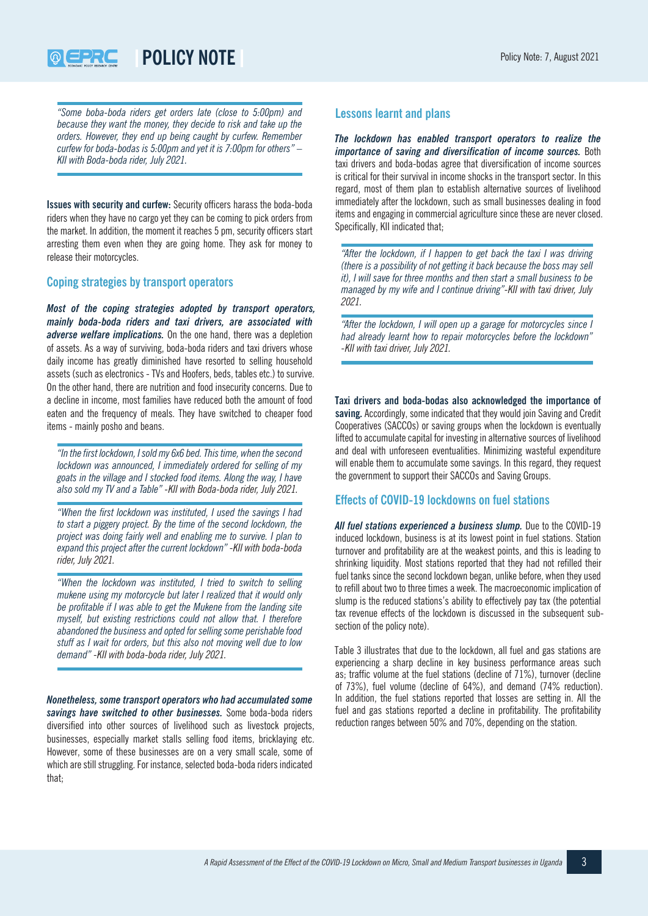**POLICY NOTE POLICY NOTE POLICY ALGO POLICY NOTE** 

*"Some boba-boda riders get orders late (close to 5:00pm) and because they want the money, they decide to risk and take up the orders. However, they end up being caught by curfew. Remember curfew for boda-bodas is 5:00pm and yet it is 7:00pm for others" – KII with Boda-boda rider, July 2021.*

**Issues with security and curfew:** Security officers harass the boda-boda riders when they have no cargo yet they can be coming to pick orders from the market. In addition, the moment it reaches 5 pm, security officers start arresting them even when they are going home. They ask for money to release their motorcycles.

# **Coping strategies by transport operators**

*Most of the coping strategies adopted by transport operators, mainly boda-boda riders and taxi drivers, are associated with adverse welfare implications.* On the one hand, there was a depletion of assets. As a way of surviving, boda-boda riders and taxi drivers whose daily income has greatly diminished have resorted to selling household assets (such as electronics - TVs and Hoofers, beds, tables etc.) to survive. On the other hand, there are nutrition and food insecurity concerns. Due to a decline in income, most families have reduced both the amount of food eaten and the frequency of meals. They have switched to cheaper food items - mainly posho and beans.

*"In the first lockdown, I sold my 6x6 bed. This time, when the second lockdown was announced, I immediately ordered for selling of my goats in the village and I stocked food items. Along the way, I have also sold my TV and a Table" -KII with Boda-boda rider, July 2021.*

*"When the first lockdown was instituted, I used the savings I had to start a piggery project. By the time of the second lockdown, the project was doing fairly well and enabling me to survive. I plan to expand this project after the current lockdown" -KII with boda-boda rider, July 2021.*

*"When the lockdown was instituted, I tried to switch to selling mukene using my motorcycle but later I realized that it would only be profitable if I was able to get the Mukene from the landing site myself, but existing restrictions could not allow that. I therefore abandoned the business and opted for selling some perishable food stuff as I wait for orders, but this also not moving well due to low demand" -KII with boda-boda rider, July 2021.*

*Nonetheless, some transport operators who had accumulated some savings have switched to other businesses.* Some boda-boda riders diversified into other sources of livelihood such as livestock projects, businesses, especially market stalls selling food items, bricklaying etc. However, some of these businesses are on a very small scale, some of which are still struggling. For instance, selected boda-boda riders indicated that;

# **Lessons learnt and plans**

*The lockdown has enabled transport operators to realize the importance of saving and diversification of income sources.* Both taxi drivers and boda-bodas agree that diversification of income sources is critical for their survival in income shocks in the transport sector. In this regard, most of them plan to establish alternative sources of livelihood immediately after the lockdown, such as small businesses dealing in food items and engaging in commercial agriculture since these are never closed. Specifically, KII indicated that;

*"After the lockdown, if I happen to get back the taxi I was driving (there is a possibility of not getting it back because the boss may sell it), I will save for three months and then start a small business to be managed by my wife and I continue driving"-KII with taxi driver, July 2021.*

*"After the lockdown, I will open up a garage for motorcycles since I had already learnt how to repair motorcycles before the lockdown" -KII with taxi driver, July 2021.*

**Taxi drivers and boda-bodas also acknowledged the importance of saving.** Accordingly, some indicated that they would join Saving and Credit Cooperatives (SACCOs) or saving groups when the lockdown is eventually lifted to accumulate capital for investing in alternative sources of livelihood and deal with unforeseen eventualities. Minimizing wasteful expenditure will enable them to accumulate some savings. In this regard, they request the government to support their SACCOs and Saving Groups.

## **Effects of COVID-19 lockdowns on fuel stations**

*All fuel stations experienced a business slump.* Due to the COVID-19 induced lockdown, business is at its lowest point in fuel stations. Station turnover and profitability are at the weakest points, and this is leading to shrinking liquidity. Most stations reported that they had not refilled their fuel tanks since the second lockdown began, unlike before, when they used to refill about two to three times a week. The macroeconomic implication of slump is the reduced stations's ability to effectively pay tax (the potential tax revenue effects of the lockdown is discussed in the subsequent subsection of the policy note).

Table 3 illustrates that due to the lockdown, all fuel and gas stations are experiencing a sharp decline in key business performance areas such as; traffic volume at the fuel stations (decline of 71%), turnover (decline of 73%), fuel volume (decline of 64%), and demand (74% reduction). In addition, the fuel stations reported that losses are setting in. All the fuel and gas stations reported a decline in profitability. The profitability reduction ranges between 50% and 70%, depending on the station.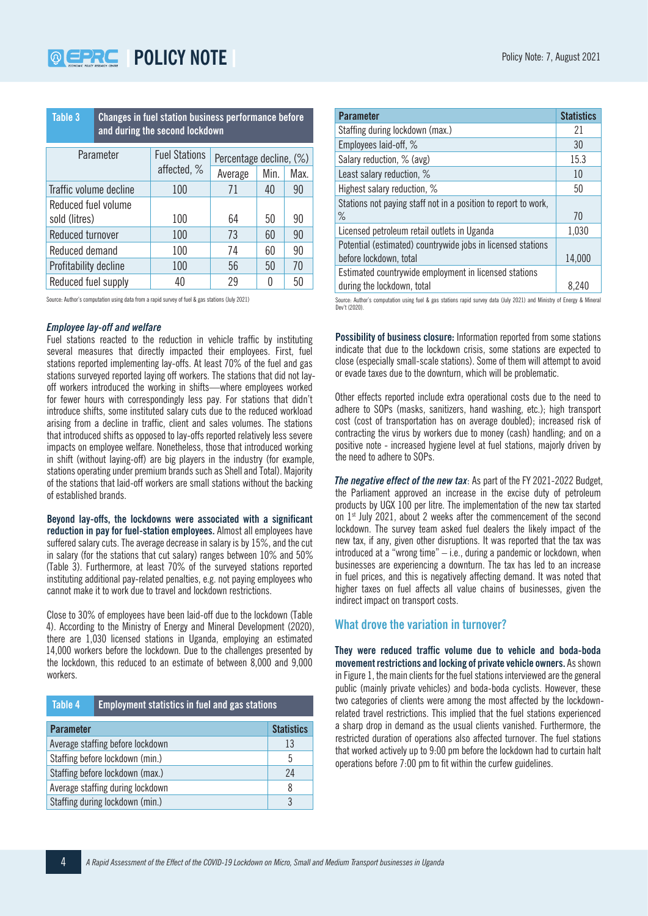| Table 3<br>Changes in fuel station business performance before<br>and during the second lockdown |                      |                         |      |      |
|--------------------------------------------------------------------------------------------------|----------------------|-------------------------|------|------|
| Parameter                                                                                        | <b>Fuel Stations</b> | Percentage decline, (%) |      |      |
|                                                                                                  | affected, %          | Average                 | Min. | Max. |
| Traffic volume decline                                                                           | 100                  | 71                      | 40   | 90   |
| Reduced fuel volume                                                                              |                      |                         |      |      |
| sold (litres)                                                                                    | 100                  | 64                      | 50   | 90   |
| Reduced turnover                                                                                 | 100                  | 73                      | 60   | 90   |
| Reduced demand                                                                                   | 100                  | 74                      | 60   | 90   |
| Profitability decline                                                                            | 100                  | 56                      | 50   | 70   |
| Reduced fuel supply                                                                              | 40                   | 29                      | 0    | 50   |

Source: Author's computation using data from a rapid survey of fuel & gas stations (July 2021)

#### *Employee lay-off and welfare*

Fuel stations reacted to the reduction in vehicle traffic by instituting several measures that directly impacted their employees. First, fuel stations reported implementing lay-offs. At least 70% of the fuel and gas stations surveyed reported laying off workers. The stations that did not layoff workers introduced the working in shifts—where employees worked for fewer hours with correspondingly less pay. For stations that didn't introduce shifts, some instituted salary cuts due to the reduced workload arising from a decline in traffic, client and sales volumes. The stations that introduced shifts as opposed to lay-offs reported relatively less severe impacts on employee welfare. Nonetheless, those that introduced working in shift (without laying-off) are big players in the industry (for example, stations operating under premium brands such as Shell and Total). Majority of the stations that laid-off workers are small stations without the backing of established brands.

**Beyond lay-offs, the lockdowns were associated with a significant reduction in pay for fuel-station employees.** Almost all employees have suffered salary cuts. The average decrease in salary is by 15%, and the cut in salary (for the stations that cut salary) ranges between 10% and 50% (Table 3). Furthermore, at least 70% of the surveyed stations reported instituting additional pay-related penalties, e.g. not paying employees who cannot make it to work due to travel and lockdown restrictions.

Close to 30% of employees have been laid-off due to the lockdown (Table 4). According to the Ministry of Energy and Mineral Development (2020), there are 1,030 licensed stations in Uganda, employing an estimated 14,000 workers before the lockdown. Due to the challenges presented by the lockdown, this reduced to an estimate of between 8,000 and 9,000 workers.

| Table 4 | Employment statistics in fuel and gas stations <b>\</b> |
|---------|---------------------------------------------------------|
|---------|---------------------------------------------------------|

| <b>Parameter</b>                 | <b>Statistics</b> |
|----------------------------------|-------------------|
| Average staffing before lockdown | 13                |
| Staffing before lockdown (min.)  | 5                 |
| Staffing before lockdown (max.)  | 24                |
| Average staffing during lockdown | 8                 |
| Staffing during lockdown (min.)  |                   |

| <b>Parameter</b>                                               | <b>Statistics</b> |
|----------------------------------------------------------------|-------------------|
| Staffing during lockdown (max.)                                | 21                |
| Employees laid-off, %                                          | 30                |
| Salary reduction, % (avg)                                      | 15.3              |
| Least salary reduction, %                                      | 10                |
| Highest salary reduction, %                                    | 50                |
| Stations not paying staff not in a position to report to work, |                   |
| ℅                                                              | 70                |
| Licensed petroleum retail outlets in Uganda                    | 1,030             |
| Potential (estimated) countrywide jobs in licensed stations    |                   |
| before lockdown, total                                         | 14,000            |
| Estimated countrywide employment in licensed stations          |                   |
| during the lockdown, total                                     | 8.240             |

Source: Author's computation using fuel & gas stations rapid survey data (July 2021) and Ministry of Energy & Mineral Dev't (2020).

**Possibility of business closure:** Information reported from some stations indicate that due to the lockdown crisis, some stations are expected to close (especially small-scale stations). Some of them will attempt to avoid or evade taxes due to the downturn, which will be problematic.

Other effects reported include extra operational costs due to the need to adhere to SOPs (masks, sanitizers, hand washing, etc.); high transport cost (cost of transportation has on average doubled); increased risk of contracting the virus by workers due to money (cash) handling; and on a positive note - increased hygiene level at fuel stations, majorly driven by the need to adhere to SOPs.

*The negative effect of the new tax*: As part of the FY 2021-2022 Budget, the Parliament approved an increase in the excise duty of petroleum products by UGX 100 per litre. The implementation of the new tax started on 1<sup>st</sup> July 2021, about 2 weeks after the commencement of the second lockdown. The survey team asked fuel dealers the likely impact of the new tax, if any, given other disruptions. It was reported that the tax was introduced at a "wrong time" – i.e., during a pandemic or lockdown, when businesses are experiencing a downturn. The tax has led to an increase in fuel prices, and this is negatively affecting demand. It was noted that higher taxes on fuel affects all value chains of businesses, given the indirect impact on transport costs.

## **What drove the variation in turnover?**

**They were reduced traffic volume due to vehicle and boda-boda movement restrictions and locking of private vehicle owners.** As shown in Figure 1, the main clients for the fuel stations interviewed are the general public (mainly private vehicles) and boda-boda cyclists. However, these two categories of clients were among the most affected by the lockdownrelated travel restrictions. This implied that the fuel stations experienced a sharp drop in demand as the usual clients vanished. Furthermore, the restricted duration of operations also affected turnover. The fuel stations that worked actively up to 9:00 pm before the lockdown had to curtain halt operations before 7:00 pm to fit within the curfew guidelines.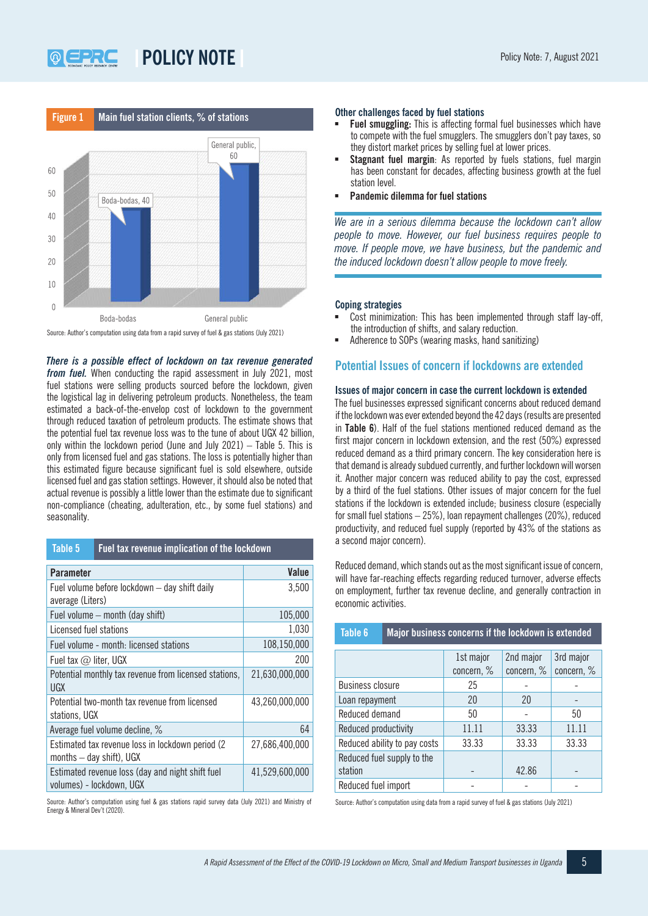

Source: Author's computation using data from a rapid survey of fuel & gas stations (July 2021)

*There is a possible effect of lockdown on tax revenue generated from fuel.* When conducting the rapid assessment in July 2021, most fuel stations were selling products sourced before the lockdown, given the logistical lag in delivering petroleum products. Nonetheless, the team estimated a back-of-the-envelop cost of lockdown to the government through reduced taxation of petroleum products. The estimate shows that the potential fuel tax revenue loss was to the tune of about UGX 42 billion, only within the lockdown period (June and July 2021) – Table 5. This is only from licensed fuel and gas stations. The loss is potentially higher than this estimated figure because significant fuel is sold elsewhere, outside licensed fuel and gas station settings. However, it should also be noted that actual revenue is possibly a little lower than the estimate due to significant non-compliance (cheating, adulteration, etc., by some fuel stations) and seasonality.

| Table 5 | <b>Fuel tax revenue implication of the lockdown</b> |
|---------|-----------------------------------------------------|
|---------|-----------------------------------------------------|

| Parameter                                                                       | Value          |
|---------------------------------------------------------------------------------|----------------|
| Fuel volume before lockdown - day shift daily                                   | 3,500          |
| average (Liters)                                                                |                |
| Fuel volume – month (day shift)                                                 | 105,000        |
| Licensed fuel stations                                                          | 1,030          |
| Fuel volume - month: licensed stations                                          | 108,150,000    |
| Fuel tax $@$ liter, UGX                                                         | 200            |
| Potential monthly tax revenue from licensed stations,<br>UGX                    | 21,630,000,000 |
| Potential two-month tax revenue from licensed<br>stations, UGX                  | 43,260,000,000 |
| Average fuel volume decline, %                                                  | 64             |
| Estimated tax revenue loss in lockdown period (2)<br>months $-$ day shift), UGX | 27,686,400,000 |
| Estimated revenue loss (day and night shift fuel<br>volumes) - lockdown, UGX    | 41,529,600,000 |

Source: Author's computation using fuel & gas stations rapid survey data (July 2021) and Ministry of Energy & Mineral Dev't (2020).

#### **Other challenges faced by fuel stations**

- **Fuel smuggling:** This is affecting formal fuel businesses which have to compete with the fuel smugglers. The smugglers don't pay taxes, so they distort market prices by selling fuel at lower prices.
- **Stagnant fuel margin**: As reported by fuels stations, fuel margin has been constant for decades, affecting business growth at the fuel station level.
- **Pandemic dilemma for fuel stations**

*We are in a serious dilemma because the lockdown can't allow people to move. However, our fuel business requires people to move. If people move, we have business, but the pandemic and the induced lockdown doesn't allow people to move freely.*

#### **Coping strategies**

- Cost minimization: This has been implemented through staff lay-off, the introduction of shifts, and salary reduction.
- Adherence to SOPs (wearing masks, hand sanitizing)

## **Potential Issues of concern if lockdowns are extended**

## **Issues of major concern in case the current lockdown is extended**

The fuel businesses expressed significant concerns about reduced demand if the lockdown was ever extended beyond the 42 days (results are presented in **Table 6**). Half of the fuel stations mentioned reduced demand as the first major concern in lockdown extension, and the rest (50%) expressed reduced demand as a third primary concern. The key consideration here is that demand is already subdued currently, and further lockdown will worsen it. Another major concern was reduced ability to pay the cost, expressed by a third of the fuel stations. Other issues of major concern for the fuel stations if the lockdown is extended include; business closure (especially for small fuel stations – 25%), loan repayment challenges (20%), reduced productivity, and reduced fuel supply (reported by 43% of the stations as a second major concern).

Reduced demand, which stands out as the most significant issue of concern, will have far-reaching effects regarding reduced turnover, adverse effects on employment, further tax revenue decline, and generally contraction in economic activities.

| <b>Table 6</b>                        | Major business concerns if the lockdown is extended |                         |                         |                         |
|---------------------------------------|-----------------------------------------------------|-------------------------|-------------------------|-------------------------|
|                                       |                                                     | 1st major<br>concern, % | 2nd major<br>concern, % | 3rd major<br>concern, % |
| <b>Business closure</b>               |                                                     | 25                      |                         |                         |
| Loan repayment                        |                                                     | 20                      | 20                      |                         |
| Reduced demand                        |                                                     | 50                      |                         | 50                      |
| Reduced productivity                  |                                                     | 11.11                   | 33.33                   | 11.11                   |
| Reduced ability to pay costs          |                                                     | 33.33                   | 33.33                   | 33.33                   |
| Reduced fuel supply to the<br>station |                                                     |                         | 42.86                   |                         |
| Reduced fuel import                   |                                                     |                         |                         |                         |

Source: Author's computation using data from a rapid survey of fuel & gas stations (July 2021)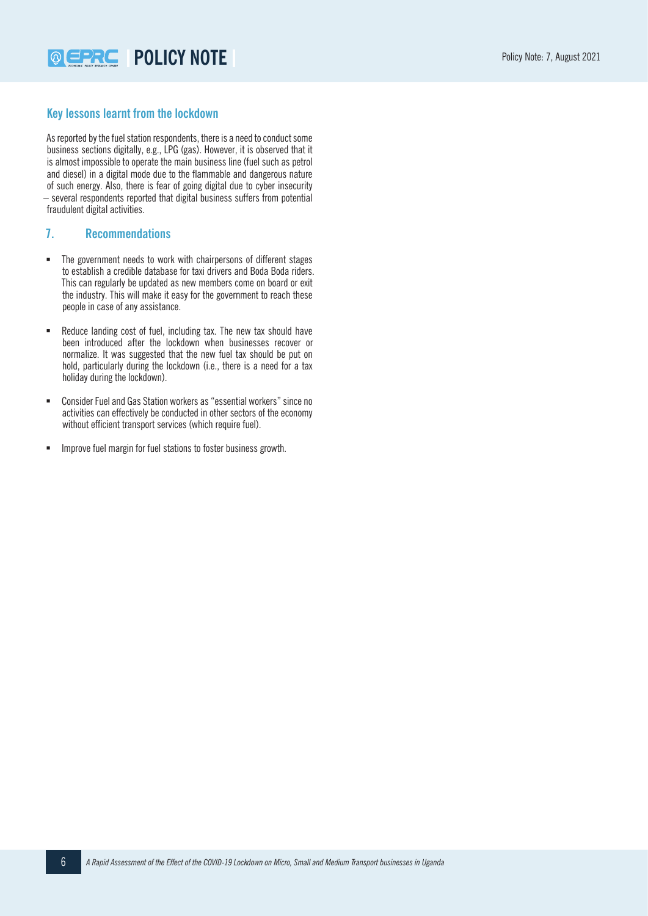# **Key lessons learnt from the lockdown**

As reported by the fuel station respondents, there is a need to conduct some business sections digitally, e.g., LPG (gas). However, it is observed that it is almost impossible to operate the main business line (fuel such as petrol and diesel) in a digital mode due to the flammable and dangerous nature of such energy. Also, there is fear of going digital due to cyber insecurity – several respondents reported that digital business suffers from potential fraudulent digital activities.

# **7. Recommendations**

- The government needs to work with chairpersons of different stages to establish a credible database for taxi drivers and Boda Boda riders. This can regularly be updated as new members come on board or exit the industry. This will make it easy for the government to reach these people in case of any assistance.
- Reduce landing cost of fuel, including tax. The new tax should have been introduced after the lockdown when businesses recover or normalize. It was suggested that the new fuel tax should be put on hold, particularly during the lockdown (i.e., there is a need for a tax holiday during the lockdown).
- Consider Fuel and Gas Station workers as "essential workers" since no activities can effectively be conducted in other sectors of the economy without efficient transport services (which require fuel).
- Improve fuel margin for fuel stations to foster business growth.